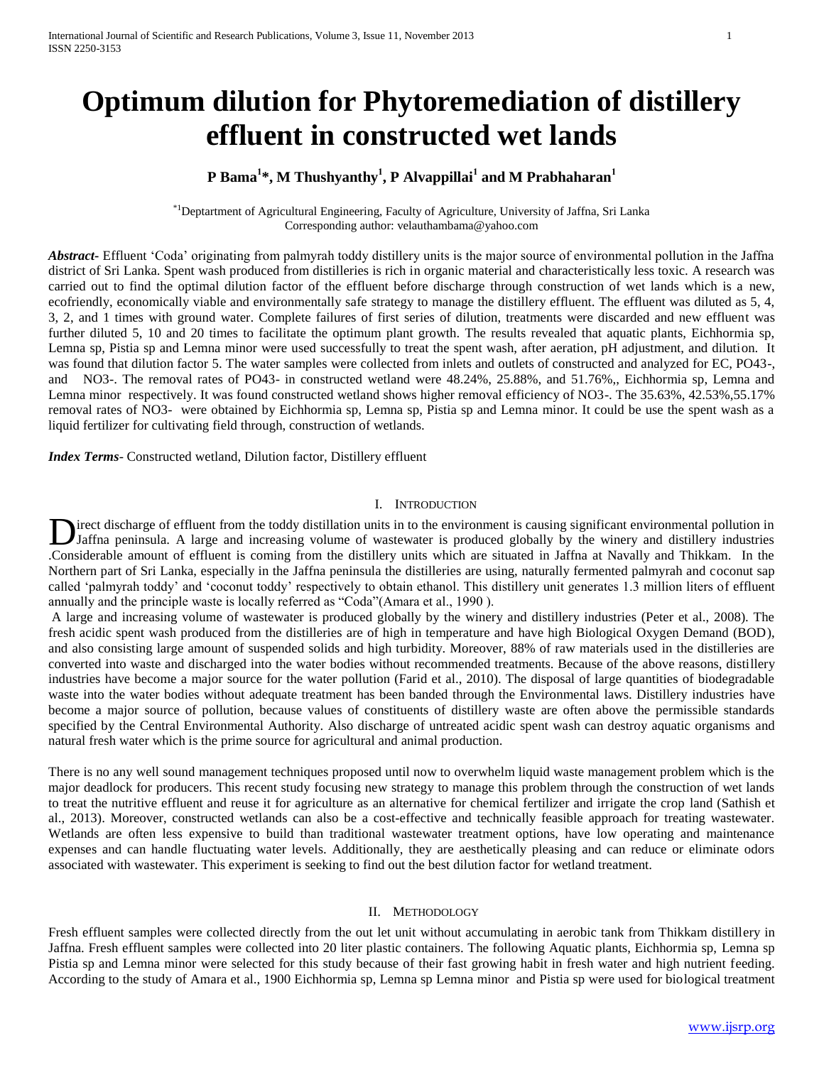# **Optimum dilution for Phytoremediation of distillery effluent in constructed wet lands**

# **P Bama<sup>1</sup> \*, M Thushyanthy<sup>1</sup> , P Alvappillai<sup>1</sup> and M Prabhaharan<sup>1</sup>**

\*1Deptartment of Agricultural Engineering, Faculty of Agriculture, University of Jaffna, Sri Lanka Corresponding author: velauthambama@yahoo.com

*Abstract***-** Effluent 'Coda' originating from palmyrah toddy distillery units is the major source of environmental pollution in the Jaffna district of Sri Lanka. Spent wash produced from distilleries is rich in organic material and characteristically less toxic. A research was carried out to find the optimal dilution factor of the effluent before discharge through construction of wet lands which is a new, ecofriendly, economically viable and environmentally safe strategy to manage the distillery effluent. The effluent was diluted as 5, 4, 3, 2, and 1 times with ground water. Complete failures of first series of dilution, treatments were discarded and new effluent was further diluted 5, 10 and 20 times to facilitate the optimum plant growth. The results revealed that aquatic plants, Eichhormia sp, Lemna sp, Pistia sp and Lemna minor were used successfully to treat the spent wash, after aeration, pH adjustment, and dilution. It was found that dilution factor 5. The water samples were collected from inlets and outlets of constructed and analyzed for EC, PO43-, and NO3-. The removal rates of PO43- in constructed wetland were 48.24%, 25.88%, and 51.76%,, Eichhormia sp, Lemna and Lemna minor respectively. It was found constructed wetland shows higher removal efficiency of NO3-. The 35.63%, 42.53%,55.17% removal rates of NO3- were obtained by Eichhormia sp, Lemna sp, Pistia sp and Lemna minor. It could be use the spent wash as a liquid fertilizer for cultivating field through, construction of wetlands.

*Index Terms*- Constructed wetland, Dilution factor, Distillery effluent

## I. INTRODUCTION

irect discharge of effluent from the toddy distillation units in to the environment is causing significant environmental pollution in **Jaffna peninsula.** A large and increasing volume of wastewater is produced globally by the winery and distillery industries Jaffna peninsula. A large and increasing volume of wastewater is produced globally by the winery .Considerable amount of effluent is coming from the distillery units which are situated in Jaffna at Navally and Thikkam. In the Northern part of Sri Lanka, especially in the Jaffna peninsula the distilleries are using, naturally fermented palmyrah and coconut sap called 'palmyrah toddy' and 'coconut toddy' respectively to obtain ethanol. This distillery unit generates 1.3 million liters of effluent annually and the principle waste is locally referred as "Coda"(Amara et al., 1990 ).

A large and increasing volume of wastewater is produced globally by the winery and distillery industries (Peter et al., 2008). The fresh acidic spent wash produced from the distilleries are of high in temperature and have high Biological Oxygen Demand (BOD), and also consisting large amount of suspended solids and high turbidity. Moreover, 88% of raw materials used in the distilleries are converted into waste and discharged into the water bodies without recommended treatments. Because of the above reasons, distillery industries have become a major source for the water pollution (Farid et al., 2010). The disposal of large quantities of biodegradable waste into the water bodies without adequate treatment has been banded through the Environmental laws. Distillery industries have become a major source of pollution, because values of constituents of distillery waste are often above the permissible standards specified by the Central Environmental Authority. Also discharge of untreated acidic spent wash can destroy aquatic organisms and natural fresh water which is the prime source for agricultural and animal production.

There is no any well sound management techniques proposed until now to overwhelm liquid waste management problem which is the major deadlock for producers. This recent study focusing new strategy to manage this problem through the construction of wet lands to treat the nutritive effluent and reuse it for agriculture as an alternative for chemical fertilizer and irrigate the crop land (Sathish et al., 2013). Moreover, constructed wetlands can also be a cost-effective and technically feasible approach for treating wastewater. Wetlands are often less expensive to build than traditional wastewater treatment options, have low operating and maintenance expenses and can handle fluctuating water levels. Additionally, they are aesthetically pleasing and can reduce or eliminate odors associated with wastewater. This experiment is seeking to find out the best dilution factor for wetland treatment.

#### II. METHODOLOGY

Fresh effluent samples were collected directly from the out let unit without accumulating in aerobic tank from Thikkam distillery in Jaffna. Fresh effluent samples were collected into 20 liter plastic containers. The following Aquatic plants, Eichhormia sp, Lemna sp Pistia sp and Lemna minor were selected for this study because of their fast growing habit in fresh water and high nutrient feeding. According to the study of Amara et al., 1900 Eichhormia sp, Lemna sp Lemna minor and Pistia sp were used for biological treatment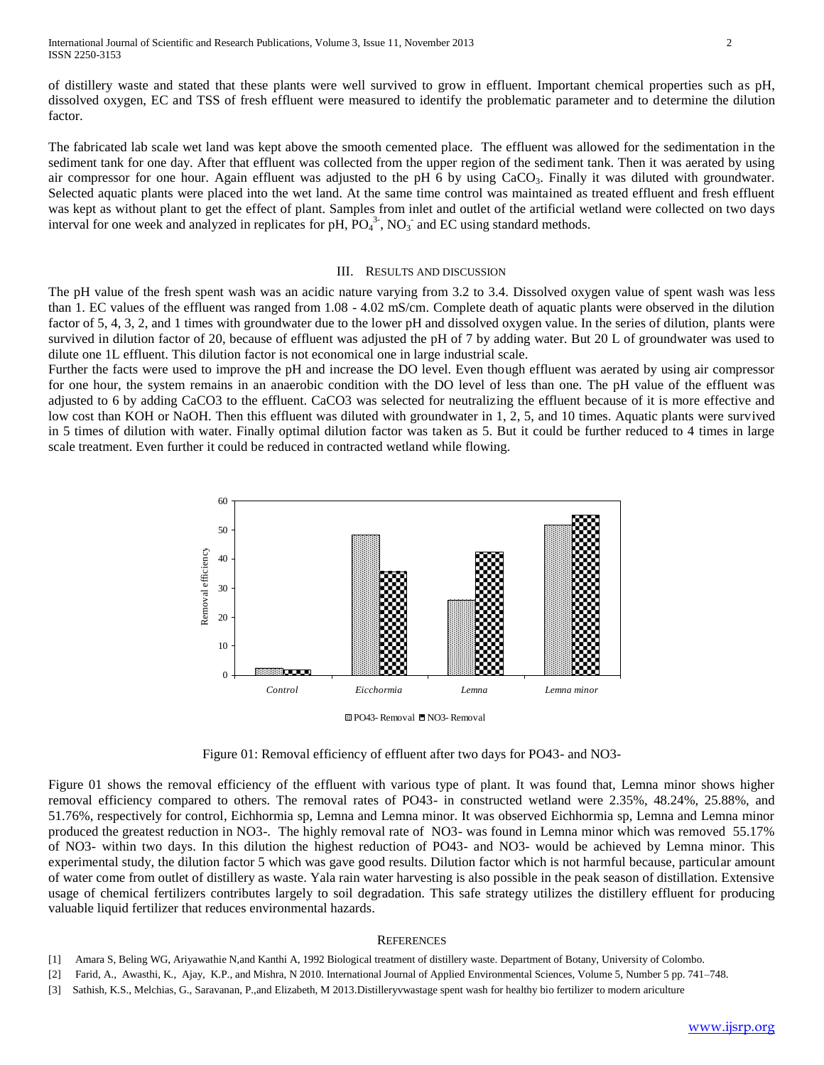of distillery waste and stated that these plants were well survived to grow in effluent. Important chemical properties such as pH, dissolved oxygen, EC and TSS of fresh effluent were measured to identify the problematic parameter and to determine the dilution factor.

The fabricated lab scale wet land was kept above the smooth cemented place. The effluent was allowed for the sedimentation in the sediment tank for one day. After that effluent was collected from the upper region of the sediment tank. Then it was aerated by using air compressor for one hour. Again effluent was adjusted to the pH 6 by using CaCO<sub>3</sub>. Finally it was diluted with groundwater. Selected aquatic plants were placed into the wet land. At the same time control was maintained as treated effluent and fresh effluent was kept as without plant to get the effect of plant. Samples from inlet and outlet of the artificial wetland were collected on two days interval for one week and analyzed in replicates for pH,  $\overline{PO_4}^3$ , NO<sub>3</sub> and EC using standard methods.

#### III. RESULTS AND DISCUSSION

The pH value of the fresh spent wash was an acidic nature varying from 3.2 to 3.4. Dissolved oxygen value of spent wash was less than 1. EC values of the effluent was ranged from 1.08 - 4.02 mS/cm. Complete death of aquatic plants were observed in the dilution factor of 5, 4, 3, 2, and 1 times with groundwater due to the lower pH and dissolved oxygen value. In the series of dilution, plants were survived in dilution factor of 20, because of effluent was adjusted the pH of 7 by adding water. But 20 L of groundwater was used to dilute one 1L effluent. This dilution factor is not economical one in large industrial scale.

Further the facts were used to improve the pH and increase the DO level. Even though effluent was aerated by using air compressor for one hour, the system remains in an anaerobic condition with the DO level of less than one. The pH value of the effluent was adjusted to 6 by adding CaCO3 to the effluent. CaCO3 was selected for neutralizing the effluent because of it is more effective and low cost than KOH or NaOH. Then this effluent was diluted with groundwater in 1, 2, 5, and 10 times. Aquatic plants were survived in 5 times of dilution with water. Finally optimal dilution factor was taken as 5. But it could be further reduced to 4 times in large scale treatment. Even further it could be reduced in contracted wetland while flowing.



PO43- Removal ■ NO3- Removal

Figure 01: Removal efficiency of effluent after two days for PO43- and NO3-

Figure 01 shows the removal efficiency of the effluent with various type of plant. It was found that, Lemna minor shows higher removal efficiency compared to others. The removal rates of PO43- in constructed wetland were 2.35%, 48.24%, 25.88%, and 51.76%, respectively for control, Eichhormia sp, Lemna and Lemna minor. It was observed Eichhormia sp, Lemna and Lemna minor produced the greatest reduction in NO3-. The highly removal rate of NO3- was found in Lemna minor which was removed 55.17% of NO3- within two days. In this dilution the highest reduction of PO43- and NO3- would be achieved by Lemna minor. This experimental study, the dilution factor 5 which was gave good results. Dilution factor which is not harmful because, particular amount of water come from outlet of distillery as waste. Yala rain water harvesting is also possible in the peak season of distillation. Extensive usage of chemical fertilizers contributes largely to soil degradation. This safe strategy utilizes the distillery effluent for producing valuable liquid fertilizer that reduces environmental hazards.

#### **REFERENCES**

- [1] Amara S, Beling WG, Ariyawathie N,and Kanthi A, 1992 Biological treatment of distillery waste. Department of Botany, University of Colombo.
- [2] Farid, A., Awasthi, K., Ajay, K.P., and Mishra, N 2010. International Journal of Applied Environmental Sciences, Volume 5, Number 5 pp. 741–748.
- [3] Sathish, K.S., Melchias, G., Saravanan, P.,and Elizabeth, M 2013.Distilleryvwastage spent wash for healthy bio fertilizer to modern ariculture